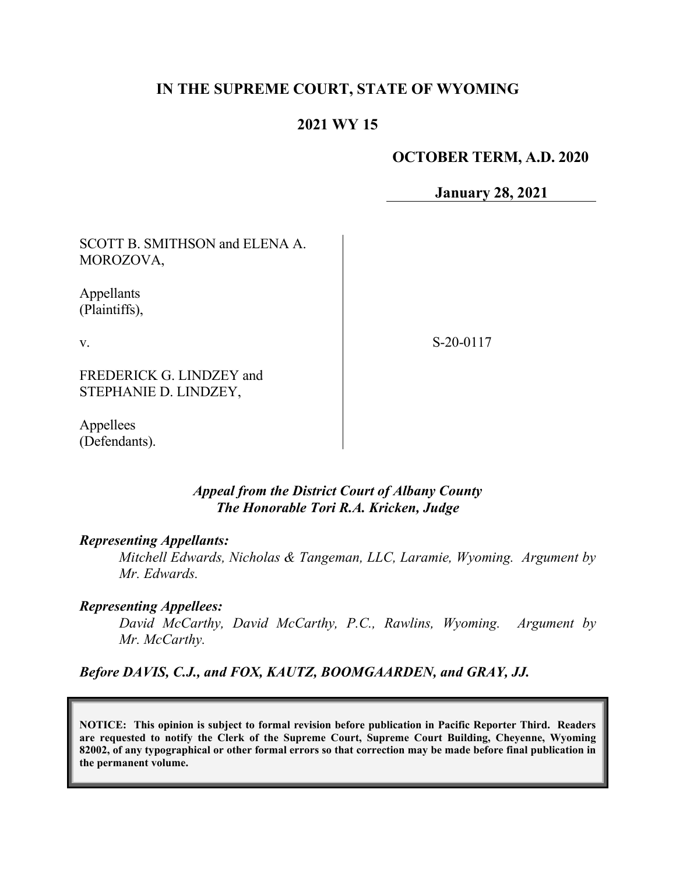# **IN THE SUPREME COURT, STATE OF WYOMING**

# **2021 WY 15**

#### **OCTOBER TERM, A.D. 2020**

**January 28, 2021**

SCOTT B. SMITHSON and ELENA A. MOROZOVA,

Appellants (Plaintiffs),

v.

S-20-0117

FREDERICK G. LINDZEY and STEPHANIE D. LINDZEY,

Appellees (Defendants).

### *Appeal from the District Court of Albany County The Honorable Tori R.A. Kricken, Judge*

#### *Representing Appellants:*

*Mitchell Edwards, Nicholas & Tangeman, LLC, Laramie, Wyoming. Argument by Mr. Edwards.*

#### *Representing Appellees:*

*David McCarthy, David McCarthy, P.C., Rawlins, Wyoming. Argument by Mr. McCarthy.* 

*Before DAVIS, C.J., and FOX, KAUTZ, BOOMGAARDEN, and GRAY, JJ.*

**NOTICE: This opinion is subject to formal revision before publication in Pacific Reporter Third. Readers are requested to notify the Clerk of the Supreme Court, Supreme Court Building, Cheyenne, Wyoming 82002, of any typographical or other formal errors so that correction may be made before final publication in the permanent volume.**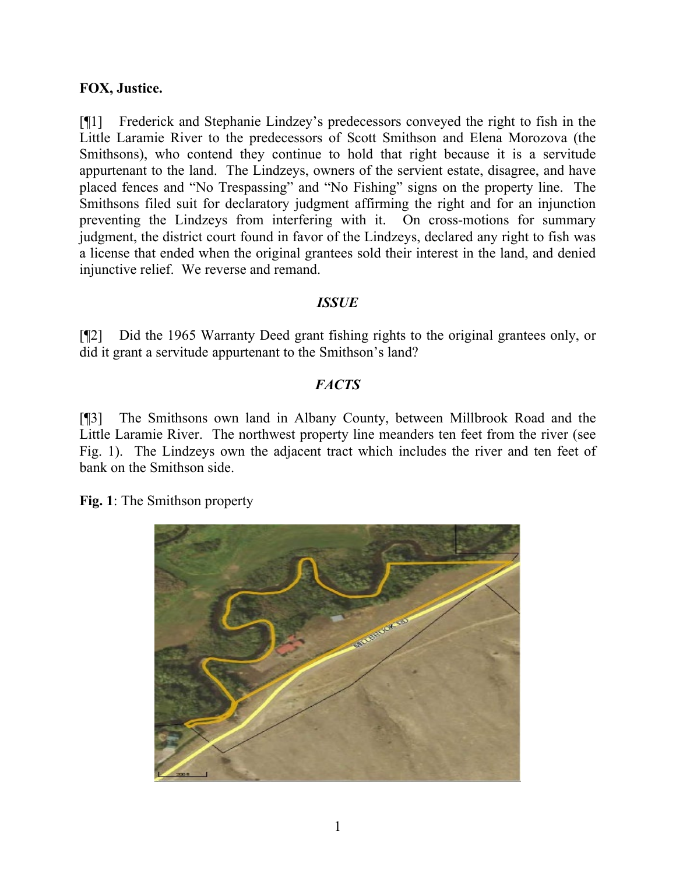## **FOX, Justice.**

[¶1] Frederick and Stephanie Lindzey's predecessors conveyed the right to fish in the Little Laramie River to the predecessors of Scott Smithson and Elena Morozova (the Smithsons), who contend they continue to hold that right because it is a servitude appurtenant to the land. The Lindzeys, owners of the servient estate, disagree, and have placed fences and "No Trespassing" and "No Fishing" signs on the property line. The Smithsons filed suit for declaratory judgment affirming the right and for an injunction preventing the Lindzeys from interfering with it. On cross-motions for summary judgment, the district court found in favor of the Lindzeys, declared any right to fish was a license that ended when the original grantees sold their interest in the land, and denied injunctive relief. We reverse and remand.

### *ISSUE*

[¶2] Did the 1965 Warranty Deed grant fishing rights to the original grantees only, or did it grant a servitude appurtenant to the Smithson's land?

### *FACTS*

[¶3] The Smithsons own land in Albany County, between Millbrook Road and the Little Laramie River. The northwest property line meanders ten feet from the river (see Fig. 1). The Lindzeys own the adjacent tract which includes the river and ten feet of bank on the Smithson side.

**Fig. 1**: The Smithson property

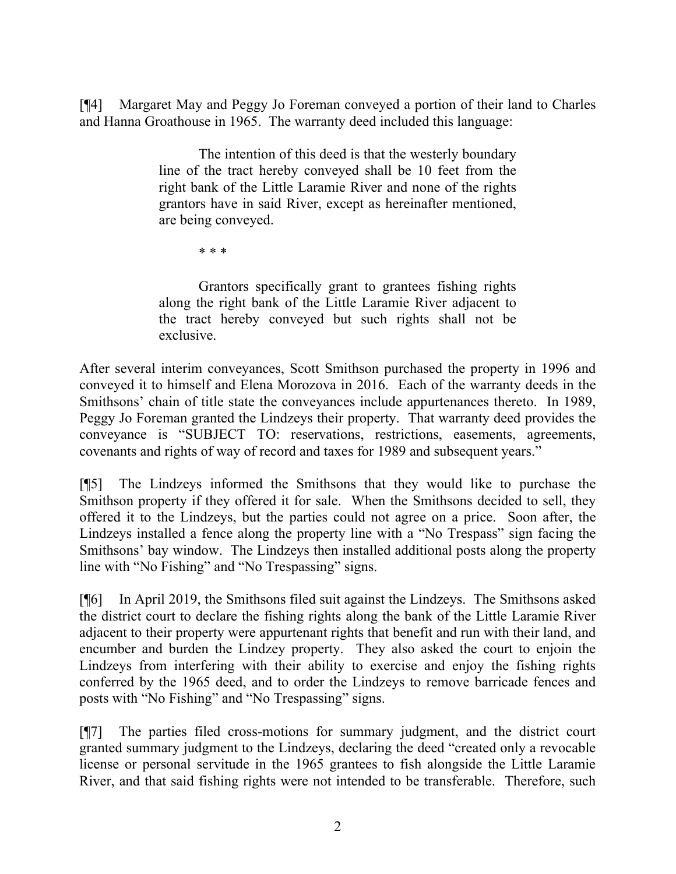[¶4] Margaret May and Peggy Jo Foreman conveyed a portion of their land to Charles and Hanna Groathouse in 1965. The warranty deed included this language:

> The intention of this deed is that the westerly boundary line of the tract hereby conveyed shall be 10 feet from the right bank of the Little Laramie River and none of the rights grantors have in said River, except as hereinafter mentioned, are being conveyed.

> > \* \* \*

Grantors specifically grant to grantees fishing rights along the right bank of the Little Laramie River adjacent to the tract hereby conveyed but such rights shall not be exclusive.

After several interim conveyances, Scott Smithson purchased the property in 1996 and conveyed it to himself and Elena Morozova in 2016. Each of the warranty deeds in the Smithsons' chain of title state the conveyances include appurtenances thereto. In 1989, Peggy Jo Foreman granted the Lindzeys their property. That warranty deed provides the conveyance is "SUBJECT TO: reservations, restrictions, easements, agreements, covenants and rights of way of record and taxes for 1989 and subsequent years."

[¶5] The Lindzeys informed the Smithsons that they would like to purchase the Smithson property if they offered it for sale. When the Smithsons decided to sell, they offered it to the Lindzeys, but the parties could not agree on a price. Soon after, the Lindzeys installed a fence along the property line with a "No Trespass" sign facing the Smithsons' bay window. The Lindzeys then installed additional posts along the property line with "No Fishing" and "No Trespassing" signs.

[¶6] In April 2019, the Smithsons filed suit against the Lindzeys. The Smithsons asked the district court to declare the fishing rights along the bank of the Little Laramie River adjacent to their property were appurtenant rights that benefit and run with their land, and encumber and burden the Lindzey property. They also asked the court to enjoin the Lindzeys from interfering with their ability to exercise and enjoy the fishing rights conferred by the 1965 deed, and to order the Lindzeys to remove barricade fences and posts with "No Fishing" and "No Trespassing" signs.

[¶7] The parties filed cross-motions for summary judgment, and the district court granted summary judgment to the Lindzeys, declaring the deed "created only a revocable license or personal servitude in the 1965 grantees to fish alongside the Little Laramie River, and that said fishing rights were not intended to be transferable. Therefore, such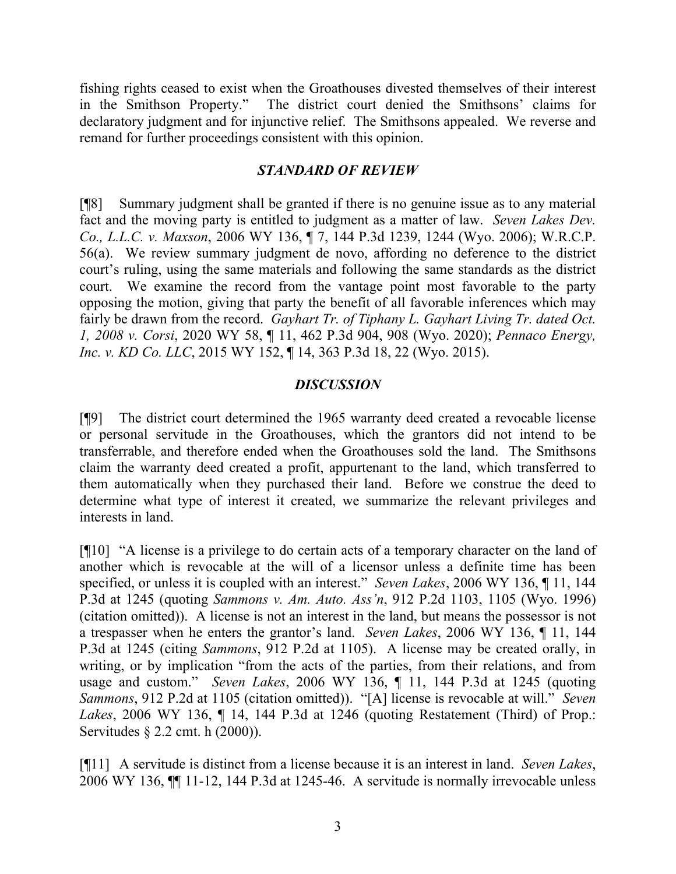fishing rights ceased to exist when the Groathouses divested themselves of their interest in the Smithson Property." The district court denied the Smithsons' claims for declaratory judgment and for injunctive relief. The Smithsons appealed. We reverse and remand for further proceedings consistent with this opinion.

#### *STANDARD OF REVIEW*

[¶8] Summary judgment shall be granted if there is no genuine issue as to any material fact and the moving party is entitled to judgment as a matter of law. *Seven Lakes Dev. Co., L.L.C. v. Maxson*, 2006 WY 136, ¶ 7, 144 P.3d 1239, 1244 (Wyo. 2006); W.R.C.P. 56(a). We review summary judgment de novo, affording no deference to the district court's ruling, using the same materials and following the same standards as the district court. We examine the record from the vantage point most favorable to the party opposing the motion, giving that party the benefit of all favorable inferences which may fairly be drawn from the record. *Gayhart Tr. of Tiphany L. Gayhart Living Tr. dated Oct. 1, 2008 v. Corsi*, 2020 WY 58, ¶ 11, 462 P.3d 904, 908 (Wyo. 2020); *Pennaco Energy, Inc. v. KD Co. LLC*, 2015 WY 152, ¶ 14, 363 P.3d 18, 22 (Wyo. 2015).

### *DISCUSSION*

[¶9] The district court determined the 1965 warranty deed created a revocable license or personal servitude in the Groathouses, which the grantors did not intend to be transferrable, and therefore ended when the Groathouses sold the land. The Smithsons claim the warranty deed created a profit, appurtenant to the land, which transferred to them automatically when they purchased their land. Before we construe the deed to determine what type of interest it created, we summarize the relevant privileges and interests in land.

[¶10] "A license is a privilege to do certain acts of a temporary character on the land of another which is revocable at the will of a licensor unless a definite time has been specified, or unless it is coupled with an interest." *Seven Lakes*, 2006 WY 136, ¶ 11, 144 P.3d at 1245 (quoting *Sammons v. Am. Auto. Ass'n*, 912 P.2d 1103, 1105 (Wyo. 1996) (citation omitted)). A license is not an interest in the land, but means the possessor is not a trespasser when he enters the grantor's land. *Seven Lakes*, 2006 WY 136, ¶ 11, 144 P.3d at 1245 (citing *Sammons*, 912 P.2d at 1105). A license may be created orally, in writing, or by implication "from the acts of the parties, from their relations, and from usage and custom." *Seven Lakes*, 2006 WY 136, ¶ 11, 144 P.3d at 1245 (quoting *Sammons*, 912 P.2d at 1105 (citation omitted)). "[A] license is revocable at will." *Seven Lakes*, 2006 WY 136, ¶ 14, 144 P.3d at 1246 (quoting Restatement (Third) of Prop.: Servitudes § 2.2 cmt. h (2000)).

[¶11] A servitude is distinct from a license because it is an interest in land. *Seven Lakes*, 2006 WY 136, ¶¶ 11-12, 144 P.3d at 1245-46. A servitude is normally irrevocable unless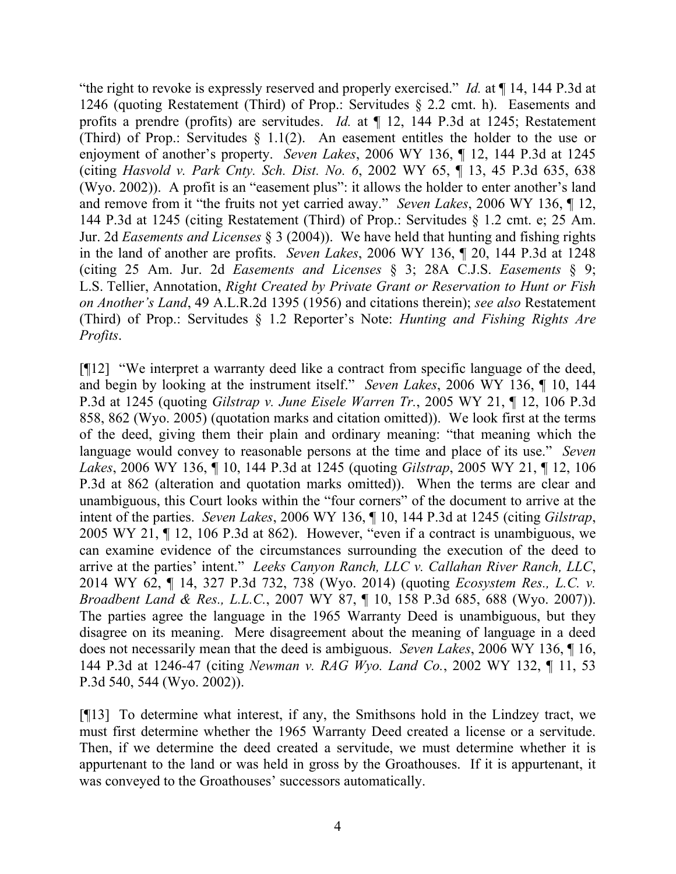"the right to revoke is expressly reserved and properly exercised." *Id.* at ¶ 14, 144 P.3d at 1246 (quoting Restatement (Third) of Prop.: Servitudes § 2.2 cmt. h). Easements and profits a prendre (profits) are servitudes. *Id.* at ¶ 12, 144 P.3d at 1245; Restatement (Third) of Prop.: Servitudes  $\S$  1.1(2). An easement entitles the holder to the use or enjoyment of another's property. *Seven Lakes*, 2006 WY 136, ¶ 12, 144 P.3d at 1245 (citing *Hasvold v. Park Cnty. Sch. Dist. No. 6*, 2002 WY 65, ¶ 13, 45 P.3d 635, 638 (Wyo. 2002)). A profit is an "easement plus": it allows the holder to enter another's land and remove from it "the fruits not yet carried away." *Seven Lakes*, 2006 WY 136, ¶ 12, 144 P.3d at 1245 (citing Restatement (Third) of Prop.: Servitudes § 1.2 cmt. e; 25 Am. Jur. 2d *Easements and Licenses* § 3 (2004)). We have held that hunting and fishing rights in the land of another are profits. *Seven Lakes*, 2006 WY 136, ¶ 20, 144 P.3d at 1248 (citing 25 Am. Jur. 2d *Easements and Licenses* § 3; 28A C.J.S. *Easements* § 9; L.S. Tellier, Annotation, *Right Created by Private Grant or Reservation to Hunt or Fish on Another's Land*, 49 A.L.R.2d 1395 (1956) and citations therein); *see also* Restatement (Third) of Prop.: Servitudes § 1.2 Reporter's Note: *Hunting and Fishing Rights Are Profits*.

[¶12] "We interpret a warranty deed like a contract from specific language of the deed, and begin by looking at the instrument itself." *Seven Lakes*, 2006 WY 136, ¶ 10, 144 P.3d at 1245 (quoting *Gilstrap v. June Eisele Warren Tr.*, 2005 WY 21, ¶ 12, 106 P.3d 858, 862 (Wyo. 2005) (quotation marks and citation omitted)). We look first at the terms of the deed, giving them their plain and ordinary meaning: "that meaning which the language would convey to reasonable persons at the time and place of its use." *Seven Lakes*, 2006 WY 136, ¶ 10, 144 P.3d at 1245 (quoting *Gilstrap*, 2005 WY 21, ¶ 12, 106 P.3d at 862 (alteration and quotation marks omitted)). When the terms are clear and unambiguous, this Court looks within the "four corners" of the document to arrive at the intent of the parties. *Seven Lakes*, 2006 WY 136, ¶ 10, 144 P.3d at 1245 (citing *Gilstrap*, 2005 WY 21, ¶ 12, 106 P.3d at 862). However, "even if a contract is unambiguous, we can examine evidence of the circumstances surrounding the execution of the deed to arrive at the parties' intent." *Leeks Canyon Ranch, LLC v. Callahan River Ranch, LLC*, 2014 WY 62, ¶ 14, 327 P.3d 732, 738 (Wyo. 2014) (quoting *Ecosystem Res., L.C. v. Broadbent Land & Res., L.L.C.*, 2007 WY 87, ¶ 10, 158 P.3d 685, 688 (Wyo. 2007)). The parties agree the language in the 1965 Warranty Deed is unambiguous, but they disagree on its meaning. Mere disagreement about the meaning of language in a deed does not necessarily mean that the deed is ambiguous. *Seven Lakes*, 2006 WY 136, ¶ 16, 144 P.3d at 1246-47 (citing *Newman v. RAG Wyo. Land Co.*, 2002 WY 132, ¶ 11, 53 P.3d 540, 544 (Wyo. 2002)).

[¶13] To determine what interest, if any, the Smithsons hold in the Lindzey tract, we must first determine whether the 1965 Warranty Deed created a license or a servitude. Then, if we determine the deed created a servitude, we must determine whether it is appurtenant to the land or was held in gross by the Groathouses. If it is appurtenant, it was conveyed to the Groathouses' successors automatically.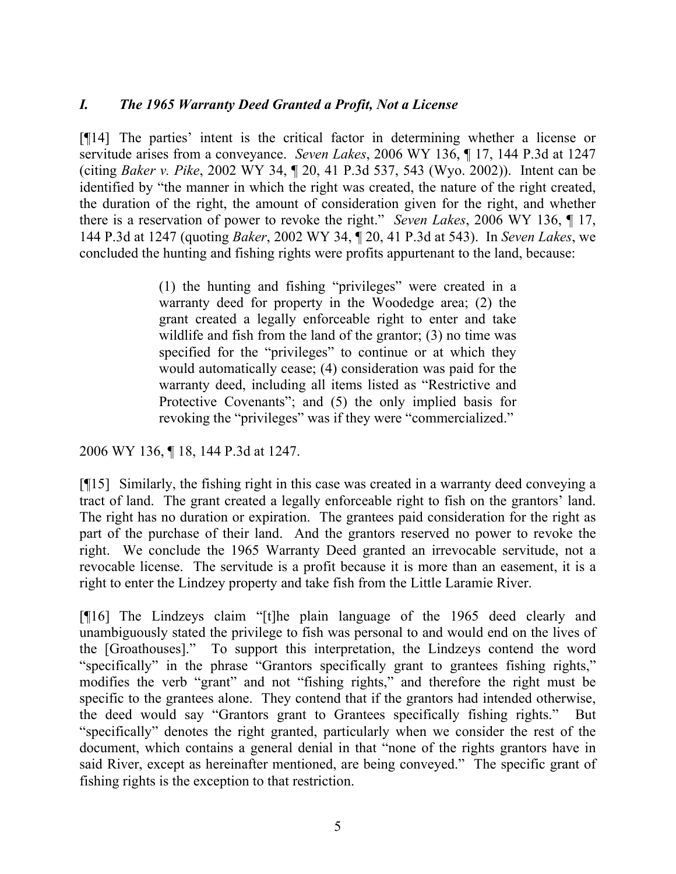# *I. The 1965 Warranty Deed Granted a Profit, Not a License*

[¶14] The parties' intent is the critical factor in determining whether a license or servitude arises from a conveyance. *Seven Lakes*, 2006 WY 136, ¶ 17, 144 P.3d at 1247 (citing *Baker v. Pike*, 2002 WY 34, ¶ 20, 41 P.3d 537, 543 (Wyo. 2002)). Intent can be identified by "the manner in which the right was created, the nature of the right created, the duration of the right, the amount of consideration given for the right, and whether there is a reservation of power to revoke the right." *Seven Lakes*, 2006 WY 136, ¶ 17, 144 P.3d at 1247 (quoting *Baker*, 2002 WY 34, ¶ 20, 41 P.3d at 543). In *Seven Lakes*, we concluded the hunting and fishing rights were profits appurtenant to the land, because:

> (1) the hunting and fishing "privileges" were created in a warranty deed for property in the Woodedge area; (2) the grant created a legally enforceable right to enter and take wildlife and fish from the land of the grantor; (3) no time was specified for the "privileges" to continue or at which they would automatically cease; (4) consideration was paid for the warranty deed, including all items listed as "Restrictive and Protective Covenants"; and (5) the only implied basis for revoking the "privileges" was if they were "commercialized."

2006 WY 136, ¶ 18, 144 P.3d at 1247.

[¶15] Similarly, the fishing right in this case was created in a warranty deed conveying a tract of land. The grant created a legally enforceable right to fish on the grantors' land. The right has no duration or expiration. The grantees paid consideration for the right as part of the purchase of their land. And the grantors reserved no power to revoke the right. We conclude the 1965 Warranty Deed granted an irrevocable servitude, not a revocable license. The servitude is a profit because it is more than an easement, it is a right to enter the Lindzey property and take fish from the Little Laramie River.

[¶16] The Lindzeys claim "[t]he plain language of the 1965 deed clearly and unambiguously stated the privilege to fish was personal to and would end on the lives of the [Groathouses]." To support this interpretation, the Lindzeys contend the word "specifically" in the phrase "Grantors specifically grant to grantees fishing rights," modifies the verb "grant" and not "fishing rights," and therefore the right must be specific to the grantees alone. They contend that if the grantors had intended otherwise, the deed would say "Grantors grant to Grantees specifically fishing rights." But "specifically" denotes the right granted, particularly when we consider the rest of the document, which contains a general denial in that "none of the rights grantors have in said River, except as hereinafter mentioned, are being conveyed." The specific grant of fishing rights is the exception to that restriction.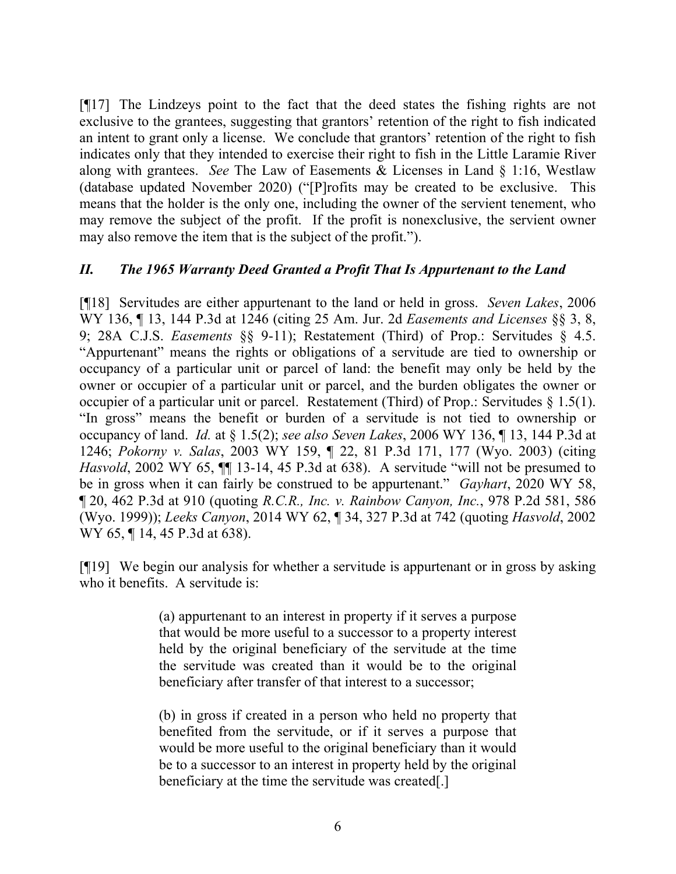[¶17] The Lindzeys point to the fact that the deed states the fishing rights are not exclusive to the grantees, suggesting that grantors' retention of the right to fish indicated an intent to grant only a license. We conclude that grantors' retention of the right to fish indicates only that they intended to exercise their right to fish in the Little Laramie River along with grantees. *See* The Law of Easements & Licenses in Land § 1:16, Westlaw (database updated November 2020) ("[P]rofits may be created to be exclusive. This means that the holder is the only one, including the owner of the servient tenement, who may remove the subject of the profit. If the profit is nonexclusive, the servient owner may also remove the item that is the subject of the profit.").

### *II. The 1965 Warranty Deed Granted a Profit That Is Appurtenant to the Land*

[¶18] Servitudes are either appurtenant to the land or held in gross. *Seven Lakes*, 2006 WY 136, ¶ 13, 144 P.3d at 1246 (citing 25 Am. Jur. 2d *Easements and Licenses* §§ 3, 8, 9; 28A C.J.S. *Easements* §§ 9-11); Restatement (Third) of Prop.: Servitudes § 4.5. "Appurtenant" means the rights or obligations of a servitude are tied to ownership or occupancy of a particular unit or parcel of land: the benefit may only be held by the owner or occupier of a particular unit or parcel, and the burden obligates the owner or occupier of a particular unit or parcel. Restatement (Third) of Prop.: Servitudes § 1.5(1). "In gross" means the benefit or burden of a servitude is not tied to ownership or occupancy of land. *Id.* at § 1.5(2); *see also Seven Lakes*, 2006 WY 136, ¶ 13, 144 P.3d at 1246; *Pokorny v. Salas*, 2003 WY 159, ¶ 22, 81 P.3d 171, 177 (Wyo. 2003) (citing *Hasvold*, 2002 WY 65,  $\P$  13-14, 45 P.3d at 638). A servitude "will not be presumed to be in gross when it can fairly be construed to be appurtenant." *Gayhart*, 2020 WY 58, ¶ 20, 462 P.3d at 910 (quoting *R.C.R., Inc. v. Rainbow Canyon, Inc.*, 978 P.2d 581, 586 (Wyo. 1999)); *Leeks Canyon*, 2014 WY 62, ¶ 34, 327 P.3d at 742 (quoting *Hasvold*, 2002 WY 65, ¶ 14, 45 P.3d at 638).

[¶19] We begin our analysis for whether a servitude is appurtenant or in gross by asking who it benefits. A servitude is:

> (a) appurtenant to an interest in property if it serves a purpose that would be more useful to a successor to a property interest held by the original beneficiary of the servitude at the time the servitude was created than it would be to the original beneficiary after transfer of that interest to a successor;

> (b) in gross if created in a person who held no property that benefited from the servitude, or if it serves a purpose that would be more useful to the original beneficiary than it would be to a successor to an interest in property held by the original beneficiary at the time the servitude was created[.]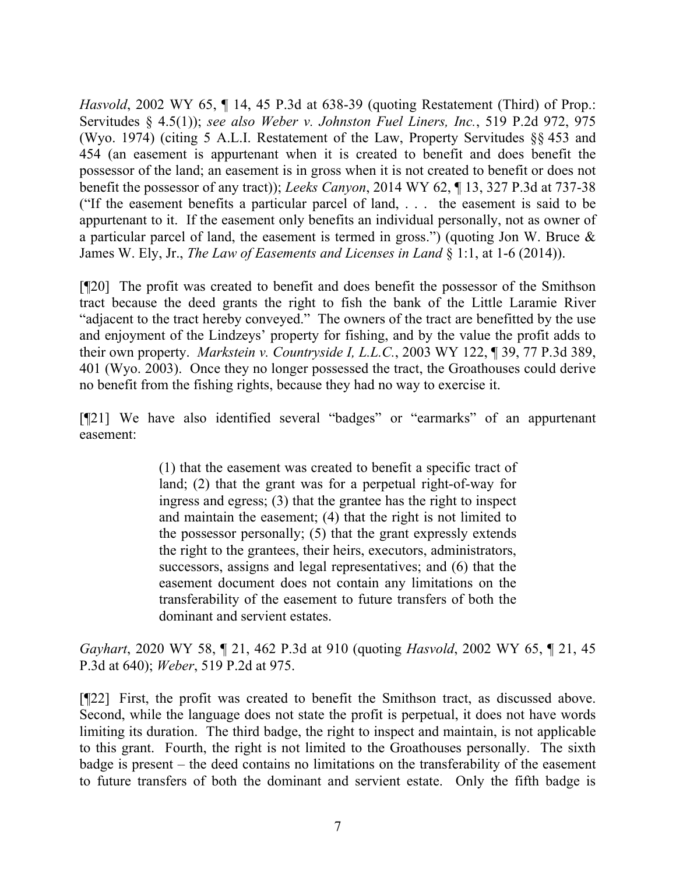*Hasvold*, 2002 WY 65, ¶ 14, 45 P.3d at 638-39 (quoting Restatement (Third) of Prop.: Servitudes § 4.5(1)); *see also Weber v. Johnston Fuel Liners, Inc.*, 519 P.2d 972, 975 (Wyo. 1974) (citing 5 A.L.I. Restatement of the Law, Property Servitudes §§ 453 and 454 (an easement is appurtenant when it is created to benefit and does benefit the possessor of the land; an easement is in gross when it is not created to benefit or does not benefit the possessor of any tract)); *Leeks Canyon*, 2014 WY 62, ¶ 13, 327 P.3d at 737-38 ("If the easement benefits a particular parcel of land, . . . the easement is said to be appurtenant to it. If the easement only benefits an individual personally, not as owner of a particular parcel of land, the easement is termed in gross.") (quoting Jon W. Bruce & James W. Ely, Jr., *The Law of Easements and Licenses in Land* § 1:1, at 1-6 (2014)).

[¶20] The profit was created to benefit and does benefit the possessor of the Smithson tract because the deed grants the right to fish the bank of the Little Laramie River "adjacent to the tract hereby conveyed." The owners of the tract are benefitted by the use and enjoyment of the Lindzeys' property for fishing, and by the value the profit adds to their own property. *Markstein v. Countryside I, L.L.C.*, 2003 WY 122, ¶ 39, 77 P.3d 389, 401 (Wyo. 2003). Once they no longer possessed the tract, the Groathouses could derive no benefit from the fishing rights, because they had no way to exercise it.

[¶21] We have also identified several "badges" or "earmarks" of an appurtenant easement:

> (1) that the easement was created to benefit a specific tract of land; (2) that the grant was for a perpetual right-of-way for ingress and egress; (3) that the grantee has the right to inspect and maintain the easement; (4) that the right is not limited to the possessor personally; (5) that the grant expressly extends the right to the grantees, their heirs, executors, administrators, successors, assigns and legal representatives; and (6) that the easement document does not contain any limitations on the transferability of the easement to future transfers of both the dominant and servient estates.

*Gayhart*, 2020 WY 58, ¶ 21, 462 P.3d at 910 (quoting *Hasvold*, 2002 WY 65, ¶ 21, 45 P.3d at 640); *Weber*, 519 P.2d at 975.

[¶22] First, the profit was created to benefit the Smithson tract, as discussed above. Second, while the language does not state the profit is perpetual, it does not have words limiting its duration. The third badge, the right to inspect and maintain, is not applicable to this grant. Fourth, the right is not limited to the Groathouses personally. The sixth badge is present – the deed contains no limitations on the transferability of the easement to future transfers of both the dominant and servient estate. Only the fifth badge is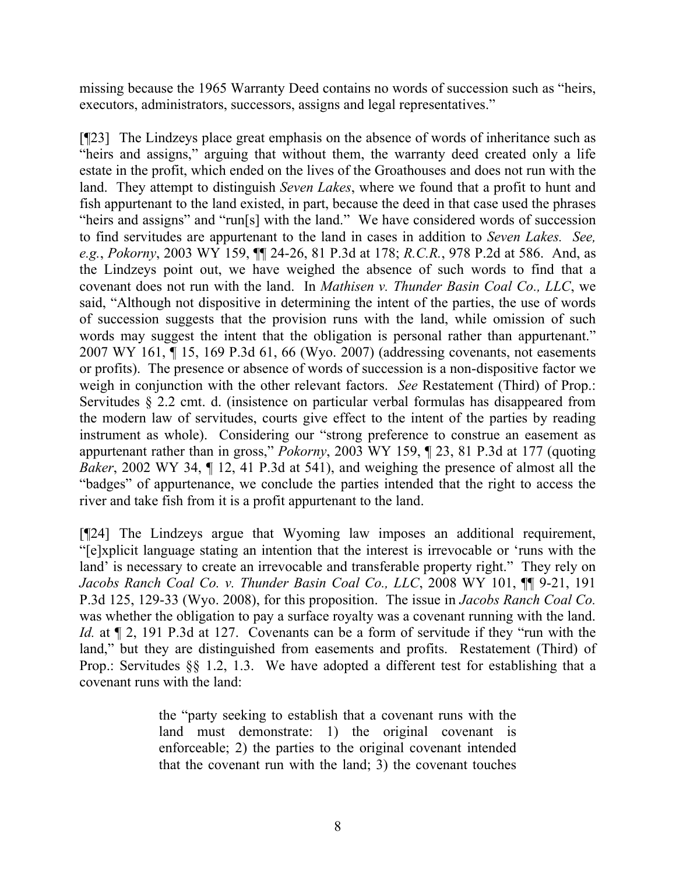missing because the 1965 Warranty Deed contains no words of succession such as "heirs, executors, administrators, successors, assigns and legal representatives."

[¶23] The Lindzeys place great emphasis on the absence of words of inheritance such as "heirs and assigns," arguing that without them, the warranty deed created only a life estate in the profit, which ended on the lives of the Groathouses and does not run with the land. They attempt to distinguish *Seven Lakes*, where we found that a profit to hunt and fish appurtenant to the land existed, in part, because the deed in that case used the phrases "heirs and assigns" and "run[s] with the land." We have considered words of succession to find servitudes are appurtenant to the land in cases in addition to *Seven Lakes. See, e.g.*, *Pokorny*, 2003 WY 159, ¶¶ 24-26, 81 P.3d at 178; *R.C.R.*, 978 P.2d at 586. And, as the Lindzeys point out, we have weighed the absence of such words to find that a covenant does not run with the land. In *Mathisen v. Thunder Basin Coal Co., LLC*, we said, "Although not dispositive in determining the intent of the parties, the use of words of succession suggests that the provision runs with the land, while omission of such words may suggest the intent that the obligation is personal rather than appurtenant." 2007 WY 161, ¶ 15, 169 P.3d 61, 66 (Wyo. 2007) (addressing covenants, not easements or profits). The presence or absence of words of succession is a non-dispositive factor we weigh in conjunction with the other relevant factors. *See* Restatement (Third) of Prop.: Servitudes § 2.2 cmt. d. (insistence on particular verbal formulas has disappeared from the modern law of servitudes, courts give effect to the intent of the parties by reading instrument as whole). Considering our "strong preference to construe an easement as appurtenant rather than in gross," *Pokorny*, 2003 WY 159, ¶ 23, 81 P.3d at 177 (quoting *Baker*, 2002 WY 34,  $\P$  12, 41 P.3d at 541), and weighing the presence of almost all the "badges" of appurtenance, we conclude the parties intended that the right to access the river and take fish from it is a profit appurtenant to the land.

[¶24] The Lindzeys argue that Wyoming law imposes an additional requirement, "[e]xplicit language stating an intention that the interest is irrevocable or 'runs with the land' is necessary to create an irrevocable and transferable property right." They rely on *Jacobs Ranch Coal Co. v. Thunder Basin Coal Co., LLC*, 2008 WY 101, ¶¶ 9-21, 191 P.3d 125, 129-33 (Wyo. 2008), for this proposition. The issue in *Jacobs Ranch Coal Co.* was whether the obligation to pay a surface royalty was a covenant running with the land. *Id.* at  $\P$  2, 191 P.3d at 127. Covenants can be a form of servitude if they "run with the land," but they are distinguished from easements and profits. Restatement (Third) of Prop.: Servitudes §§ 1.2, 1.3. We have adopted a different test for establishing that a covenant runs with the land:

> the "party seeking to establish that a covenant runs with the land must demonstrate: 1) the original covenant is enforceable; 2) the parties to the original covenant intended that the covenant run with the land; 3) the covenant touches